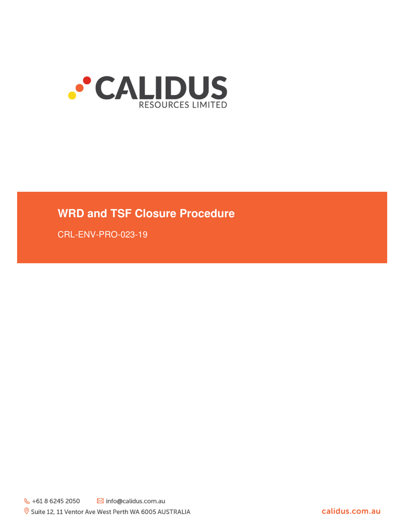

# **WRD and TSF Closure Procedure**

CRL-ENV-PRO-023-19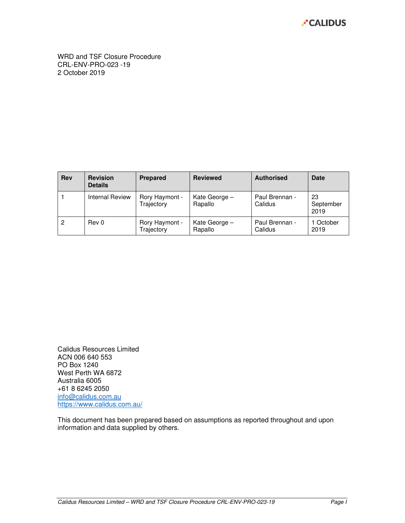

WRD and TSF Closure Procedure CRL-ENV-PRO-023 -19 2 October 2019

| <b>Rev</b> | <b>Revision</b><br><b>Details</b> | <b>Prepared</b>              | <b>Reviewed</b>          | <b>Authorised</b>         | <b>Date</b>             |
|------------|-----------------------------------|------------------------------|--------------------------|---------------------------|-------------------------|
|            | Internal Review                   | Rory Haymont -<br>Trajectory | Kate George -<br>Rapallo | Paul Brennan -<br>Calidus | 23<br>September<br>2019 |
| 2          | Rev 0                             | Rory Haymont -<br>Trajectory | Kate George -<br>Rapallo | Paul Brennan -<br>Calidus | 1 October<br>2019       |

Calidus Resources Limited ACN 006 640 553 PO Box 1240 West Perth WA 6872 Australia 6005 +61 8 6245 2050 info@calidus.com.au https://www.calidus.com.au/

This document has been prepared based on assumptions as reported throughout and upon information and data supplied by others.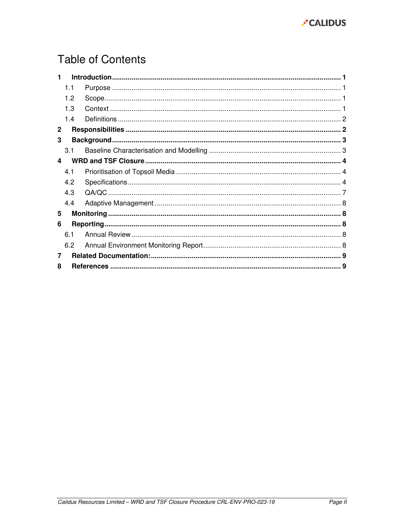

# **Table of Contents**

| 1            |     |  |  |
|--------------|-----|--|--|
|              | 1.1 |  |  |
|              | 1.2 |  |  |
|              | 1.3 |  |  |
|              | 1.4 |  |  |
| $\mathbf{2}$ |     |  |  |
| 3            |     |  |  |
|              | 3.1 |  |  |
| 4            |     |  |  |
|              | 4.1 |  |  |
|              | 4.2 |  |  |
|              | 4.3 |  |  |
|              | 4.4 |  |  |
| 5            |     |  |  |
| 6            |     |  |  |
|              | 6.1 |  |  |
|              | 6.2 |  |  |
| 7            |     |  |  |
| 8            |     |  |  |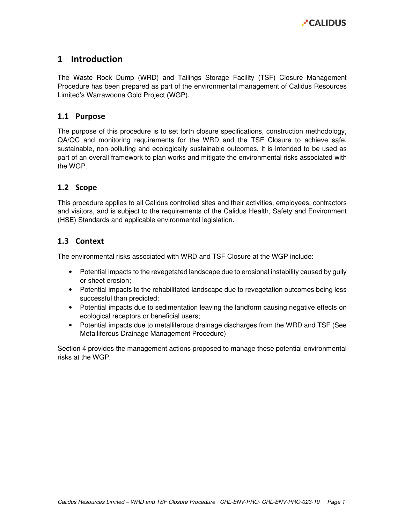

# 1 Introduction

The Waste Rock Dump (WRD) and Tailings Storage Facility (TSF) Closure Management Procedure has been prepared as part of the environmental management of Calidus Resources Limited's Warrawoona Gold Project (WGP).

#### 1.1 Purpose

The purpose of this procedure is to set forth closure specifications, construction methodology, QA/QC and monitoring requirements for the WRD and the TSF Closure to achieve safe, sustainable, non-polluting and ecologically sustainable outcomes. It is intended to be used as part of an overall framework to plan works and mitigate the environmental risks associated with the WGP.

### 1.2 Scope

This procedure applies to all Calidus controlled sites and their activities, employees, contractors and visitors, and is subject to the requirements of the Calidus Health, Safety and Environment (HSE) Standards and applicable environmental legislation.

### 1.3 Context

The environmental risks associated with WRD and TSF Closure at the WGP include:

- Potential impacts to the revegetated landscape due to erosional instability caused by gully or sheet erosion;
- Potential impacts to the rehabilitated landscape due to revegetation outcomes being less successful than predicted;
- Potential impacts due to sedimentation leaving the landform causing negative effects on ecological receptors or beneficial users;
- Potential impacts due to metalliferous drainage discharges from the WRD and TSF (See Metalliferous Drainage Management Procedure)

Section 4 provides the management actions proposed to manage these potential environmental risks at the WGP.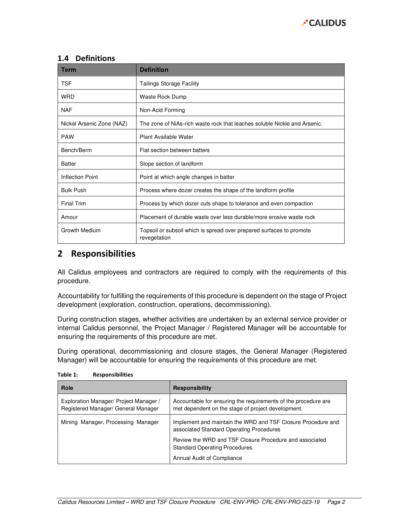

### 1.4 Definitions

| <b>Term</b>               | <b>Definition</b>                                                                    |
|---------------------------|--------------------------------------------------------------------------------------|
| <b>TSF</b>                | <b>Tailings Storage Facility</b>                                                     |
| <b>WRD</b>                | Waste Rock Dump                                                                      |
| <b>NAF</b>                | Non-Acid Forming                                                                     |
| Nickel Arsenic Zone (NAZ) | The zone of NiAs-rich waste rock that leaches soluble Nickle and Arsenic.            |
| <b>PAW</b>                | Plant Available Water                                                                |
| Bench/Berm                | Flat section between batters                                                         |
| <b>Batter</b>             | Slope section of landform                                                            |
| Inflection Point          | Point at which angle changes in batter                                               |
| <b>Bulk Push</b>          | Process where dozer creates the shape of the landform profile                        |
| <b>Final Trim</b>         | Process by which dozer cuts shape to tolerance and even compaction                   |
| Amour                     | Placement of durable waste over less durable/more erosive waste rock                 |
| Growth Medium             | Topsoil or subsoil which is spread over prepared surfaces to promote<br>revegetation |

# 2 Responsibilities

All Calidus employees and contractors are required to comply with the requirements of this procedure.

Accountability for fulfilling the requirements of this procedure is dependent on the stage of Project development (exploration, construction, operations, decommissioning).

During construction stages, whether activities are undertaken by an external service provider or internal Calidus personnel, the Project Manager / Registered Manager will be accountable for ensuring the requirements of this procedure are met.

During operational, decommissioning and closure stages, the General Manager (Registered Manager) will be accountable for ensuring the requirements of this procedure are met.

| Role                                                                          | <b>Responsibility</b>                                                                                                |
|-------------------------------------------------------------------------------|----------------------------------------------------------------------------------------------------------------------|
| Exploration Manager/ Project Manager /<br>Registered Manager/ General Manager | Accountable for ensuring the requirements of the procedure are<br>met dependent on the stage of project development. |
| Mining Manager, Processing Manager                                            | Implement and maintain the WRD and TSF Closure Procedure and<br>associated Standard Operating Procedures             |
|                                                                               | Review the WRD and TSF Closure Procedure and associated<br><b>Standard Operating Procedures</b>                      |
|                                                                               | Annual Audit of Compliance                                                                                           |

Table 1: Responsibilities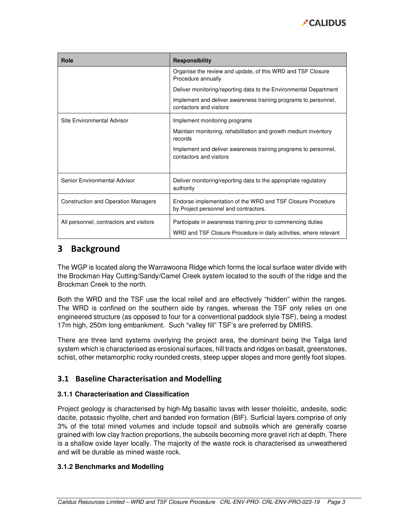

| Role                                       | <b>Responsibility</b>                                                                                                             |
|--------------------------------------------|-----------------------------------------------------------------------------------------------------------------------------------|
|                                            | Organise the review and update, of this WRD and TSF Closure<br>Procedure annually                                                 |
|                                            | Deliver monitoring/reporting data to the Environmental Department                                                                 |
|                                            | Implement and deliver awareness training programs to personnel,<br>contactors and visitors                                        |
| Site Environmental Advisor                 | Implement monitoring programs                                                                                                     |
|                                            | Maintain monitoring, rehabilitation and growth medium inventory<br>records                                                        |
|                                            | Implement and deliver awareness training programs to personnel,<br>contactors and visitors                                        |
| Senior Environmental Advisor               | Deliver monitoring/reporting data to the appropriate regulatory<br>authority                                                      |
| <b>Construction and Operation Managers</b> | Endorse implementation of the WRD and TSF Closure Procedure<br>by Project personnel and contractors.                              |
| All personnel, contractors and visitors    | Participate in awareness training prior to commencing duties<br>WRD and TSF Closure Procedure in daily activities, where relevant |

# 3 Background

The WGP is located along the Warrawoona Ridge which forms the local surface water divide with the Brockman Hay Cutting/Sandy/Camel Creek system located to the south of the ridge and the Brockman Creek to the north.

Both the WRD and the TSF use the local relief and are effectively "hidden" within the ranges. The WRD is confined on the southern side by ranges, whereas the TSF only relies on one engineered structure (as opposed to four for a conventional paddock style TSF), being a modest 17m high, 250m long embankment. Such "valley fill" TSF's are preferred by DMIRS.

There are three land systems overlying the project area, the dominant being the Talga land system which is characterised as erosional surfaces, hill tracts and ridges on basalt, greenstones, schist, other metamorphic rocky rounded crests, steep upper slopes and more gently foot slopes.

## 3.1 Baseline Characterisation and Modelling

### **3.1.1 Characterisation and Classification**

Project geology is characterised by high-Mg basaltic lavas with lesser tholeiitic, andesite, sodic dacite, potassic rhyolite, chert and banded iron formation (BIF). Surficial layers comprise of only 3% of the total mined volumes and include topsoil and subsoils which are generally coarse grained with low clay fraction proportions, the subsoils becoming more gravel rich at depth. There is a shallow oxide layer locally. The majority of the waste rock is characterised as unweathered and will be durable as mined waste rock.

#### **3.1.2 Benchmarks and Modelling**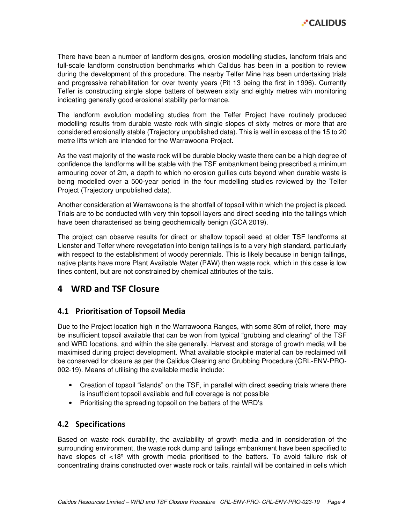

There have been a number of landform designs, erosion modelling studies, landform trials and full-scale landform construction benchmarks which Calidus has been in a position to review during the development of this procedure. The nearby Telfer Mine has been undertaking trials and progressive rehabilitation for over twenty years (Pit 13 being the first in 1996). Currently Telfer is constructing single slope batters of between sixty and eighty metres with monitoring indicating generally good erosional stability performance.

The landform evolution modelling studies from the Telfer Project have routinely produced modelling results from durable waste rock with single slopes of sixty metres or more that are considered erosionally stable (Trajectory unpublished data). This is well in excess of the 15 to 20 metre lifts which are intended for the Warrawoona Project.

As the vast majority of the waste rock will be durable blocky waste there can be a high degree of confidence the landforms will be stable with the TSF embankment being prescribed a minimum armouring cover of 2m, a depth to which no erosion gullies cuts beyond when durable waste is being modelled over a 500-year period in the four modelling studies reviewed by the Telfer Project (Trajectory unpublished data).

Another consideration at Warrawoona is the shortfall of topsoil within which the project is placed. Trials are to be conducted with very thin topsoil layers and direct seeding into the tailings which have been characterised as being geochemically benign (GCA 2019).

The project can observe results for direct or shallow topsoil seed at older TSF landforms at Lienster and Telfer where revegetation into benign tailings is to a very high standard, particularly with respect to the establishment of woody perennials. This is likely because in benign tailings, native plants have more Plant Available Water (PAW) then waste rock, which in this case is low fines content, but are not constrained by chemical attributes of the tails.

# 4 WRD and TSF Closure

## 4.1 Prioritisation of Topsoil Media

Due to the Project location high in the Warrawoona Ranges, with some 80m of relief, there may be insufficient topsoil available that can be won from typical "grubbing and clearing" of the TSF and WRD locations, and within the site generally. Harvest and storage of growth media will be maximised during project development. What available stockpile material can be reclaimed will be conserved for closure as per the Calidus Clearing and Grubbing Procedure (CRL-ENV-PRO-002-19). Means of utilising the available media include:

- Creation of topsoil "islands" on the TSF, in parallel with direct seeding trials where there is insufficient topsoil available and full coverage is not possible
- Prioritising the spreading topsoil on the batters of the WRD's

### 4.2 Specifications

Based on waste rock durability, the availability of growth media and in consideration of the surrounding environment, the waste rock dump and tailings embankment have been specified to have slopes of <18° with growth media prioritised to the batters. To avoid failure risk of concentrating drains constructed over waste rock or tails, rainfall will be contained in cells which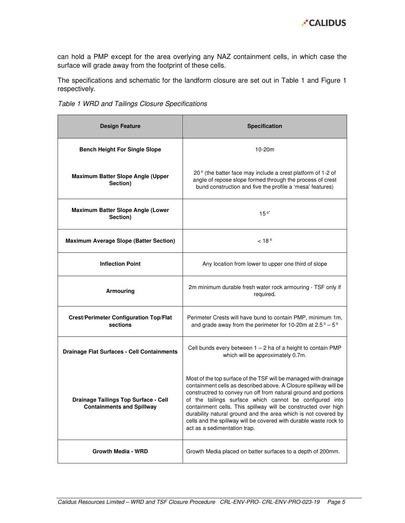

can hold a PMP except for the area overlying any NAZ containment cells, in which case the surface will grade away from the footprint of these cells.

The specifications and schematic for the landform closure are set out in Table 1 and Figure 1 respectively.

| Table 1 WRD and Tailings Closure Specifications |  |  |  |  |  |
|-------------------------------------------------|--|--|--|--|--|
|-------------------------------------------------|--|--|--|--|--|

| <b>Design Feature</b>                                                    | <b>Specification</b>                                                                                                                                                                                                                                                                                                                                                                                                                                                                                        |
|--------------------------------------------------------------------------|-------------------------------------------------------------------------------------------------------------------------------------------------------------------------------------------------------------------------------------------------------------------------------------------------------------------------------------------------------------------------------------------------------------------------------------------------------------------------------------------------------------|
| <b>Bench Height For Single Slope</b>                                     | $10-20m$                                                                                                                                                                                                                                                                                                                                                                                                                                                                                                    |
| Maximum Batter Slope Angle (Upper<br>Section)                            | 20° (the batter face may include a crest platform of 1-2 of<br>angle of repose slope formed through the process of crest<br>bund construction and five the profile a 'mesa' features)                                                                                                                                                                                                                                                                                                                       |
| Maximum Batter Slope Angle (Lower<br>Section)                            | $15^{\circ}$                                                                                                                                                                                                                                                                                                                                                                                                                                                                                                |
| <b>Maximum Average Slope (Batter Section)</b>                            | < 18°                                                                                                                                                                                                                                                                                                                                                                                                                                                                                                       |
| <b>Inflection Point</b>                                                  | Any location from lower to upper one third of slope                                                                                                                                                                                                                                                                                                                                                                                                                                                         |
| <b>Armouring</b>                                                         | 2m minimum durable fresh water rock armouring - TSF only if<br>required.                                                                                                                                                                                                                                                                                                                                                                                                                                    |
| <b>Crest/Perimeter Configuration Top/Flat</b><br>sections                | Perimeter Crests will have bund to contain PMP, minimum 1m,<br>and grade away from the perimeter for 10-20m at $2.5^{\circ} - 5^{\circ}$                                                                                                                                                                                                                                                                                                                                                                    |
| <b>Drainage Flat Surfaces - Cell Containments</b>                        | Cell bunds every between $1 - 2$ ha of a height to contain PMP<br>which will be approximately 0.7m.                                                                                                                                                                                                                                                                                                                                                                                                         |
| Drainage Tailings Top Surface - Cell<br><b>Containments and Spillway</b> | Most of the top surface of the TSF will be managed with drainage<br>containment cells as described above. A Closure spillway will be<br>constructred to convey run off from natural ground and portions<br>of the tailings surface which cannot be configured into<br>containment cells. This spillway will be constructed over high<br>durability natural ground and the area which is not covered by<br>cells and the spillway will be covered with durable waste rock to<br>act as a sedimentation trap. |
| <b>Growth Media - WRD</b>                                                | Growth Media placed on batter surfaces to a depth of 200mm.                                                                                                                                                                                                                                                                                                                                                                                                                                                 |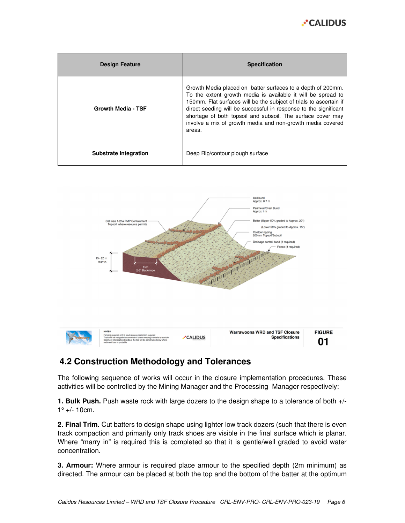

| <b>Design Feature</b>        | <b>Specification</b>                                                                                                                                                                                                                                                                                                                                                                                         |
|------------------------------|--------------------------------------------------------------------------------------------------------------------------------------------------------------------------------------------------------------------------------------------------------------------------------------------------------------------------------------------------------------------------------------------------------------|
| Growth Media - TSF           | Growth Media placed on batter surfaces to a depth of 200mm.<br>To the extent growth media is available it will be spread to<br>150mm. Flat surfaces will be the subject of trials to ascertain if<br>direct seeding will be successful in response to the significant<br>shortage of both topsoil and subsoil. The surface cover may<br>involve a mix of growth media and non-growth media covered<br>areas. |
| <b>Substrate Integration</b> | Deep Rip/contour plough surface                                                                                                                                                                                                                                                                                                                                                                              |



# **4.2 Construction Methodology and Tolerances**

The following sequence of works will occur in the closure implementation procedures. These activities will be controlled by the Mining Manager and the Processing Manager respectively:

**1. Bulk Push.** Push waste rock with large dozers to the design shape to a tolerance of both +/-  $1^{\circ}$  +/- 10cm.

**2. Final Trim.** Cut batters to design shape using lighter low track dozers (such that there is even track compaction and primarily only track shoes are visible in the final surface which is planar. Where "marry in" is required this is completed so that it is gentle/well graded to avoid water concentration.

**3. Armour:** Where armour is required place armour to the specified depth (2m minimum) as directed. The armour can be placed at both the top and the bottom of the batter at the optimum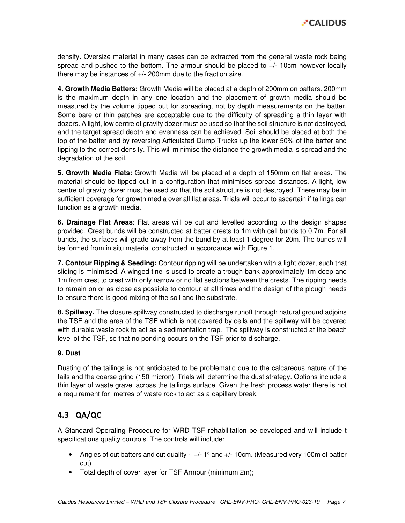

density. Oversize material in many cases can be extracted from the general waste rock being spread and pushed to the bottom. The armour should be placed to  $+/-$  10cm however locally there may be instances of +/- 200mm due to the fraction size.

**4. Growth Media Batters:** Growth Media will be placed at a depth of 200mm on batters. 200mm is the maximum depth in any one location and the placement of growth media should be measured by the volume tipped out for spreading, not by depth measurements on the batter. Some bare or thin patches are acceptable due to the difficulty of spreading a thin layer with dozers. A light, low centre of gravity dozer must be used so that the soil structure is not destroyed, and the target spread depth and evenness can be achieved. Soil should be placed at both the top of the batter and by reversing Articulated Dump Trucks up the lower 50% of the batter and tipping to the correct density. This will minimise the distance the growth media is spread and the degradation of the soil.

**5. Growth Media Flats:** Growth Media will be placed at a depth of 150mm on flat areas. The material should be tipped out in a configuration that minimises spread distances. A light, low centre of gravity dozer must be used so that the soil structure is not destroyed. There may be in sufficient coverage for growth media over all flat areas. Trials will occur to ascertain if tailings can function as a growth media.

**6. Drainage Flat Areas**: Flat areas will be cut and levelled according to the design shapes provided. Crest bunds will be constructed at batter crests to 1m with cell bunds to 0.7m. For all bunds, the surfaces will grade away from the bund by at least 1 degree for 20m. The bunds will be formed from in situ material constructed in accordance with Figure 1.

**7. Contour Ripping & Seeding:** Contour ripping will be undertaken with a light dozer, such that sliding is minimised. A winged tine is used to create a trough bank approximately 1m deep and 1m from crest to crest with only narrow or no flat sections between the crests. The ripping needs to remain on or as close as possible to contour at all times and the design of the plough needs to ensure there is good mixing of the soil and the substrate.

**8. Spillway.** The closure spillway constructed to discharge runoff through natural ground adjoins the TSF and the area of the TSF which is not covered by cells and the spillway will be covered with durable waste rock to act as a sedimentation trap. The spillway is constructed at the beach level of the TSF, so that no ponding occurs on the TSF prior to discharge.

#### **9. Dust**

Dusting of the tailings is not anticipated to be problematic due to the calcareous nature of the tails and the coarse grind (150 micron). Trials will determine the dust strategy. Options include a thin layer of waste gravel across the tailings surface. Given the fresh process water there is not a requirement for metres of waste rock to act as a capillary break.

## 4.3 QA/QC

A Standard Operating Procedure for WRD TSF rehabilitation be developed and will include t specifications quality controls. The controls will include:

- Angles of cut batters and cut quality  $+/- 1^{\circ}$  and  $+/- 10$ cm. (Measured very 100m of batter cut)
- Total depth of cover layer for TSF Armour (minimum 2m);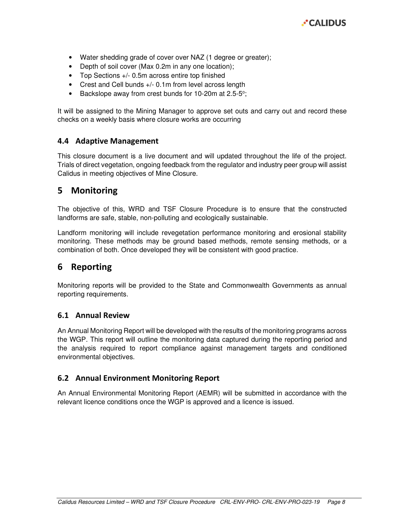

- Water shedding grade of cover over NAZ (1 degree or greater);
- Depth of soil cover (Max 0.2m in any one location);
- Top Sections +/- 0.5m across entire top finished
- Crest and Cell bunds +/- 0.1m from level across length
- Backslope away from crest bunds for 10-20m at 2.5-5°;

It will be assigned to the Mining Manager to approve set outs and carry out and record these checks on a weekly basis where closure works are occurring

#### 4.4 Adaptive Management

This closure document is a live document and will updated throughout the life of the project. Trials of direct vegetation, ongoing feedback from the regulator and industry peer group will assist Calidus in meeting objectives of Mine Closure.

## 5 Monitoring

The objective of this, WRD and TSF Closure Procedure is to ensure that the constructed landforms are safe, stable, non-polluting and ecologically sustainable.

Landform monitoring will include revegetation performance monitoring and erosional stability monitoring. These methods may be ground based methods, remote sensing methods, or a combination of both. Once developed they will be consistent with good practice.

## 6 Reporting

Monitoring reports will be provided to the State and Commonwealth Governments as annual reporting requirements.

#### 6.1 Annual Review

An Annual Monitoring Report will be developed with the results of the monitoring programs across the WGP. This report will outline the monitoring data captured during the reporting period and the analysis required to report compliance against management targets and conditioned environmental objectives.

#### 6.2 Annual Environment Monitoring Report

An Annual Environmental Monitoring Report (AEMR) will be submitted in accordance with the relevant licence conditions once the WGP is approved and a licence is issued.